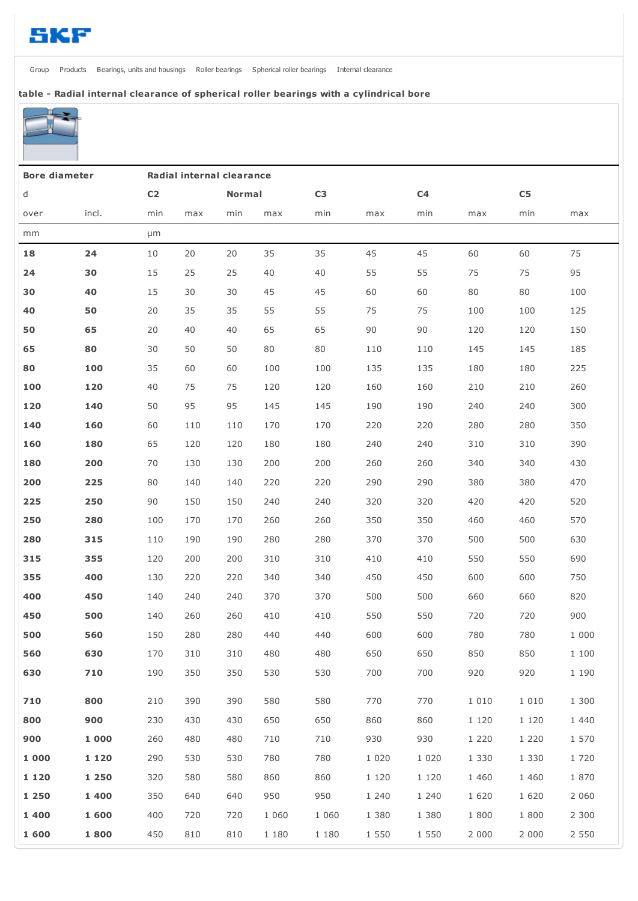[Group](http://www.skf.com/group/index.html) [Products](http://www.skf.com/group/products/index.html) [Bearings,](http://www.skf.com/group/products/bearings-units-housings/index.html) units and housings Roller [bearings](http://www.skf.com/group/products/bearings-units-housings/roller-bearings/index.html) [Spherical](http://www.skf.com/group/products/bearings-units-housings/roller-bearings/spherical-roller-bearings/index.html) roller bearings Internal [clearance](http://www.skf.com/group/products/bearings-units-housings/roller-bearings/spherical-roller-bearings/internal-clearance/index.html)

## table - Radial internal clearance of spherical roller bearings with a cylindrical bore



| <b>Bore diameter</b> |         | Radial internal clearance |     |               |         |                |         |                |         |            |         |
|----------------------|---------|---------------------------|-----|---------------|---------|----------------|---------|----------------|---------|------------|---------|
| d                    |         | C <sub>2</sub>            |     | <b>Normal</b> |         | C <sub>3</sub> |         | C <sub>4</sub> |         | ${\sf C5}$ |         |
| over                 | incl.   | min                       | max | min           | max     | min            | max     | min            | max     | min        | max     |
| mm                   |         | µm                        |     |               |         |                |         |                |         |            |         |
| 18                   | 24      | 10                        | 20  | 20            | 35      | 35             | 45      | 45             | 60      | 60         | 75      |
| 24                   | 30      | 15                        | 25  | 25            | 40      | 40             | 55      | 55             | 75      | 75         | 95      |
| 30                   | 40      | 15                        | 30  | 30            | 45      | 45             | 60      | 60             | 80      | 80         | 100     |
| 40                   | 50      | 20                        | 35  | 35            | 55      | 55             | 75      | 75             | 100     | 100        | 125     |
| 50                   | 65      | 20                        | 40  | 40            | 65      | 65             | 90      | 90             | 120     | 120        | 150     |
| 65                   | 80      | 30                        | 50  | 50            | 80      | 80             | 110     | 110            | 145     | 145        | 185     |
| 80                   | 100     | 35                        | 60  | 60            | 100     | 100            | 135     | 135            | 180     | 180        | 225     |
| 100                  | 120     | 40                        | 75  | 75            | 120     | 120            | 160     | 160            | 210     | 210        | 260     |
| 120                  | 140     | 50                        | 95  | 95            | 145     | 145            | 190     | 190            | 240     | 240        | 300     |
| 140                  | 160     | 60                        | 110 | 110           | 170     | 170            | 220     | 220            | 280     | 280        | 350     |
| 160                  | 180     | 65                        | 120 | 120           | 180     | 180            | 240     | 240            | 310     | 310        | 390     |
| 180                  | 200     | 70                        | 130 | 130           | 200     | 200            | 260     | 260            | 340     | 340        | 430     |
| 200                  | 225     | 80                        | 140 | 140           | 220     | 220            | 290     | 290            | 380     | 380        | 470     |
| 225                  | 250     | 90                        | 150 | 150           | 240     | 240            | 320     | 320            | 420     | 420        | 520     |
| 250                  | 280     | 100                       | 170 | 170           | 260     | 260            | 350     | 350            | 460     | 460        | 570     |
| 280                  | 315     | 110                       | 190 | 190           | 280     | 280            | 370     | 370            | 500     | 500        | 630     |
| 315                  | 355     | 120                       | 200 | 200           | 310     | 310            | 410     | 410            | 550     | 550        | 690     |
| 355                  | 400     | 130                       | 220 | 220           | 340     | 340            | 450     | 450            | 600     | 600        | 750     |
| 400                  | 450     | 140                       | 240 | 240           | 370     | 370            | 500     | 500            | 660     | 660        | 820     |
| 450                  | 500     | 140                       | 260 | 260           | 410     | 410            | 550     | 550            | 720     | 720        | 900     |
| 500                  | 560     | 150                       | 280 | 280           | 440     | 440            | 600     | 600            | 780     | 780        | 1 000   |
| 560                  | 630     | 170                       | 310 | 310           | 480     | 480            | 650     | 650            | 850     | 850        | 1 100   |
| 630                  | 710     | 190                       | 350 | 350           | 530     | 530            | 700     | 700            | 920     | 920        | 1 190   |
| 710                  | 800     | 210                       | 390 | 390           | 580     | 580            | 770     | 770            | 1 0 1 0 | 1 0 1 0    | 1 300   |
| 800                  | 900     | 230                       | 430 | 430           | 650     | 650            | 860     | 860            | 1 1 2 0 | 1 1 2 0    | 1 440   |
| 900                  | 1 000   | 260                       | 480 | 480           | 710     | 710            | 930     | 930            | 1 2 2 0 | 1 2 2 0    | 1 570   |
| 1 000                | 1 1 2 0 | 290                       | 530 | 530           | 780     | 780            | 1 0 2 0 | 1 0 2 0        | 1 3 3 0 | 1 3 3 0    | 1720    |
| 1 1 2 0              | 1 2 5 0 | 320                       | 580 | 580           | 860     | 860            | 1 1 2 0 | 1 1 2 0        | 1 460   | 1 4 6 0    | 1870    |
| 1 2 5 0              | 1 4 0 0 | 350                       | 640 | 640           | 950     | 950            | 1 2 4 0 | 1 240          | 1 6 2 0 | 1 6 2 0    | 2 0 6 0 |
| 1 400                | 1 600   | 400                       | 720 | 720           | 1 0 6 0 | 1 0 6 0        | 1 3 8 0 | 1 380          | 1 800   | 1 800      | 2 3 0 0 |
| 1 600                | 1800    | 450                       | 810 | 810           | 1 180   | 1 1 8 0        | 1 5 5 0 | 1 550          | 2 0 0 0 | 2 0 0 0    | 2 5 5 0 |
|                      |         |                           |     |               |         |                |         |                |         |            |         |